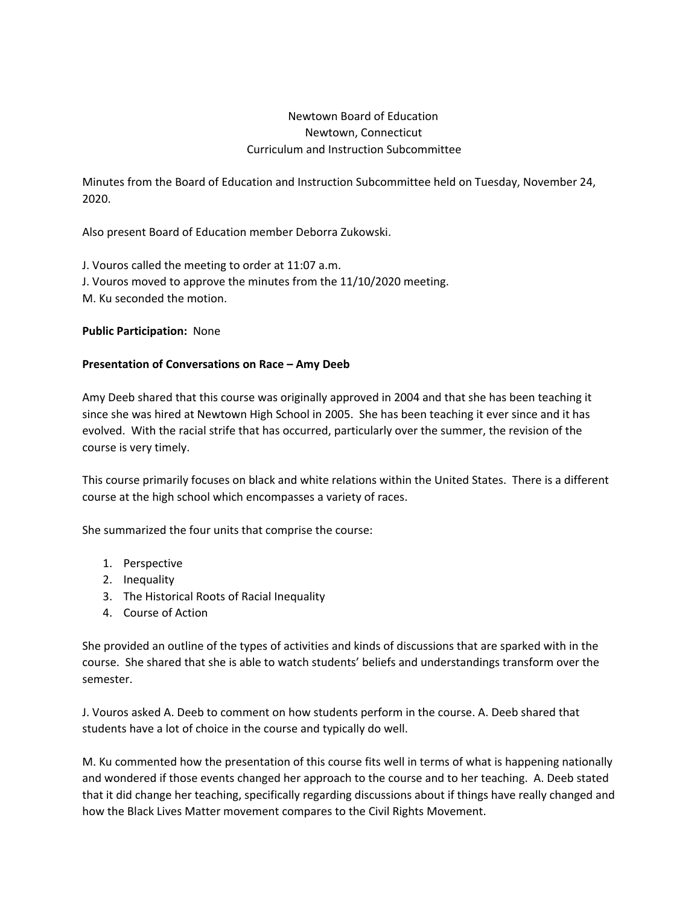## Newtown Board of Education Newtown, Connecticut Curriculum and Instruction Subcommittee

Minutes from the Board of Education and Instruction Subcommittee held on Tuesday, November 24, 2020.

Also present Board of Education member Deborra Zukowski.

J. Vouros called the meeting to order at 11:07 a.m. J. Vouros moved to approve the minutes from the 11/10/2020 meeting. M. Ku seconded the motion.

**Public Participation:** None

## **Presentation of Conversations on Race – Amy Deeb**

Amy Deeb shared that this course was originally approved in 2004 and that she has been teaching it since she was hired at Newtown High School in 2005. She has been teaching it ever since and it has evolved. With the racial strife that has occurred, particularly over the summer, the revision of the course is very timely.

This course primarily focuses on black and white relations within the United States. There is a different course at the high school which encompasses a variety of races.

She summarized the four units that comprise the course:

- 1. Perspective
- 2. Inequality
- 3. The Historical Roots of Racial Inequality
- 4. Course of Action

She provided an outline of the types of activities and kinds of discussions that are sparked with in the course. She shared that she is able to watch students' beliefs and understandings transform over the semester.

J. Vouros asked A. Deeb to comment on how students perform in the course. A. Deeb shared that students have a lot of choice in the course and typically do well.

M. Ku commented how the presentation of this course fits well in terms of what is happening nationally and wondered if those events changed her approach to the course and to her teaching. A. Deeb stated that it did change her teaching, specifically regarding discussions about if things have really changed and how the Black Lives Matter movement compares to the Civil Rights Movement.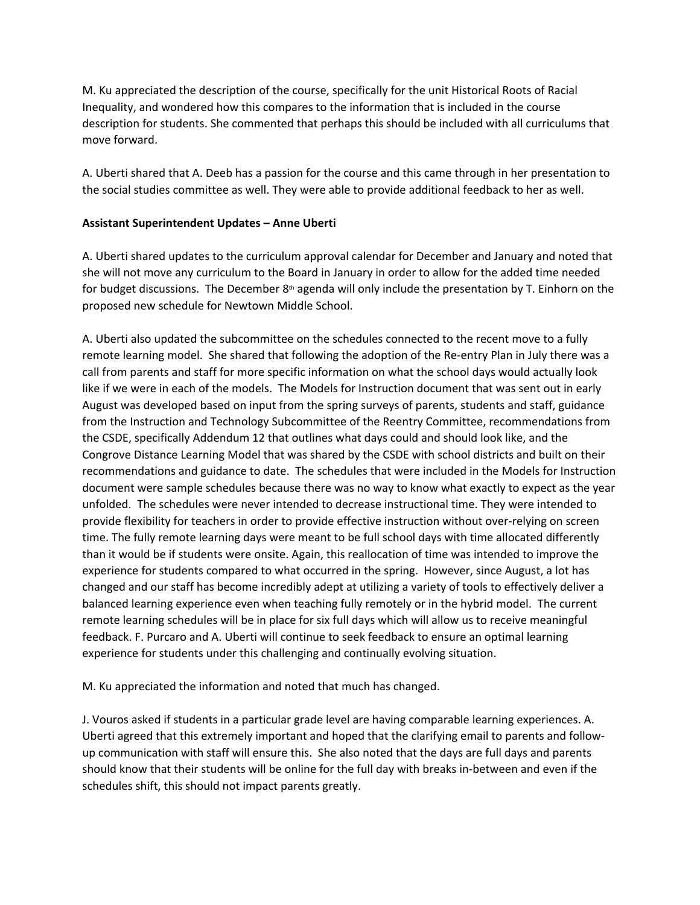M. Ku appreciated the description of the course, specifically for the unit Historical Roots of Racial Inequality, and wondered how this compares to the information that is included in the course description for students. She commented that perhaps this should be included with all curriculums that move forward.

A. Uberti shared that A. Deeb has a passion for the course and this came through in her presentation to the social studies committee as well. They were able to provide additional feedback to her as well.

## **Assistant Superintendent Updates – Anne Uberti**

A. Uberti shared updates to the curriculum approval calendar for December and January and noted that she will not move any curriculum to the Board in January in order to allow for the added time needed for budget discussions. The December  $8<sup>th</sup>$  agenda will only include the presentation by T. Einhorn on the proposed new schedule for Newtown Middle School.

A. Uberti also updated the subcommittee on the schedules connected to the recent move to a fully remote learning model. She shared that following the adoption of the Re-entry Plan in July there was a call from parents and staff for more specific information on what the school days would actually look like if we were in each of the models. The Models for Instruction document that was sent out in early August was developed based on input from the spring surveys of parents, students and staff, guidance from the Instruction and Technology Subcommittee of the Reentry Committee, recommendations from the CSDE, specifically Addendum 12 that outlines what days could and should look like, and the Congrove Distance Learning Model that was shared by the CSDE with school districts and built on their recommendations and guidance to date. The schedules that were included in the Models for Instruction document were sample schedules because there was no way to know what exactly to expect as the year unfolded. The schedules were never intended to decrease instructional time. They were intended to provide flexibility for teachers in order to provide effective instruction without over-relying on screen time. The fully remote learning days were meant to be full school days with time allocated differently than it would be if students were onsite. Again, this reallocation of time was intended to improve the experience for students compared to what occurred in the spring. However, since August, a lot has changed and our staff has become incredibly adept at utilizing a variety of tools to effectively deliver a balanced learning experience even when teaching fully remotely or in the hybrid model. The current remote learning schedules will be in place for six full days which will allow us to receive meaningful feedback. F. Purcaro and A. Uberti will continue to seek feedback to ensure an optimal learning experience for students under this challenging and continually evolving situation.

M. Ku appreciated the information and noted that much has changed.

J. Vouros asked if students in a particular grade level are having comparable learning experiences. A. Uberti agreed that this extremely important and hoped that the clarifying email to parents and followup communication with staff will ensure this. She also noted that the days are full days and parents should know that their students will be online for the full day with breaks in-between and even if the schedules shift, this should not impact parents greatly.